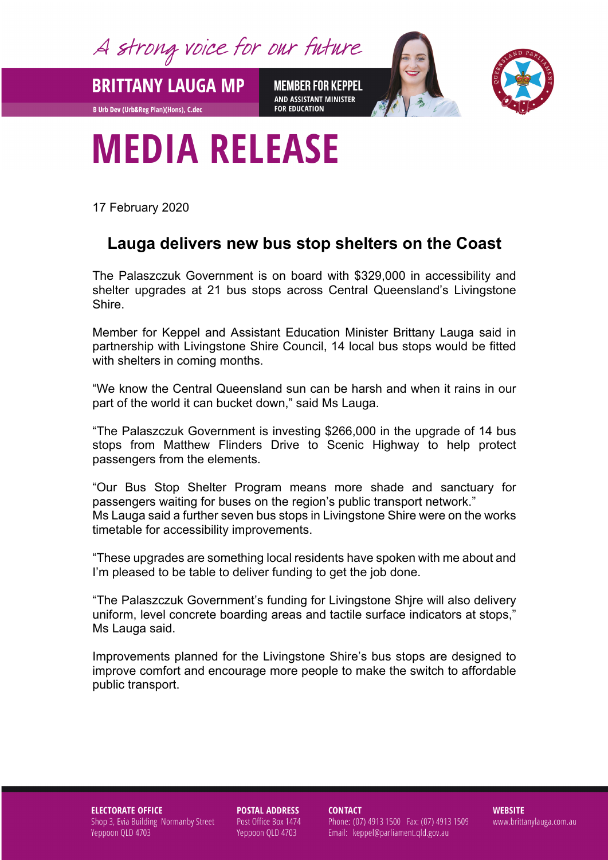A strong voice for our future

**BRITTANY LAUGA MP** 

**B Urb Dev (Urb&Reg Plan)(Hons), C.dec** 

**MEMBER FOR KEPPEL** AND ASSISTANT MINISTER **FOR EDUCATION** 



## **MEDIA RELEASE**

17 February 2020

## **Lauga delivers new bus stop shelters on the Coast**

The Palaszczuk Government is on board with \$329,000 in accessibility and shelter upgrades at 21 bus stops across Central Queensland's Livingstone Shire.

Member for Keppel and Assistant Education Minister Brittany Lauga said in partnership with Livingstone Shire Council, 14 local bus stops would be fitted with shelters in coming months.

"We know the Central Queensland sun can be harsh and when it rains in our part of the world it can bucket down," said Ms Lauga.

"The Palaszczuk Government is investing \$266,000 in the upgrade of 14 bus stops from Matthew Flinders Drive to Scenic Highway to help protect passengers from the elements.

"Our Bus Stop Shelter Program means more shade and sanctuary for passengers waiting for buses on the region's public transport network." Ms Lauga said a further seven bus stops in Livingstone Shire were on the works timetable for accessibility improvements.

"These upgrades are something local residents have spoken with me about and I'm pleased to be table to deliver funding to get the job done.

"The Palaszczuk Government's funding for Livingstone Shjre will also delivery uniform, level concrete boarding areas and tactile surface indicators at stops," Ms Lauga said.

Improvements planned for the Livingstone Shire's bus stops are designed to improve comfort and encourage more people to make the switch to affordable public transport.

## **ELECTORATE OFFICE** Shop 3, Evia Building Normanby Street Yeppoon QLD 4703

**POSTAL ADDRESS** Post Office Box 1474 Yeppoon QLD 4703

**CONTACT** 

Phone: (07) 4913 1500 Fax: (07) 4913 1509 Email: keppel@parliament.qld.gov.au

**WEBSITE** www.brittanylauga.com.au